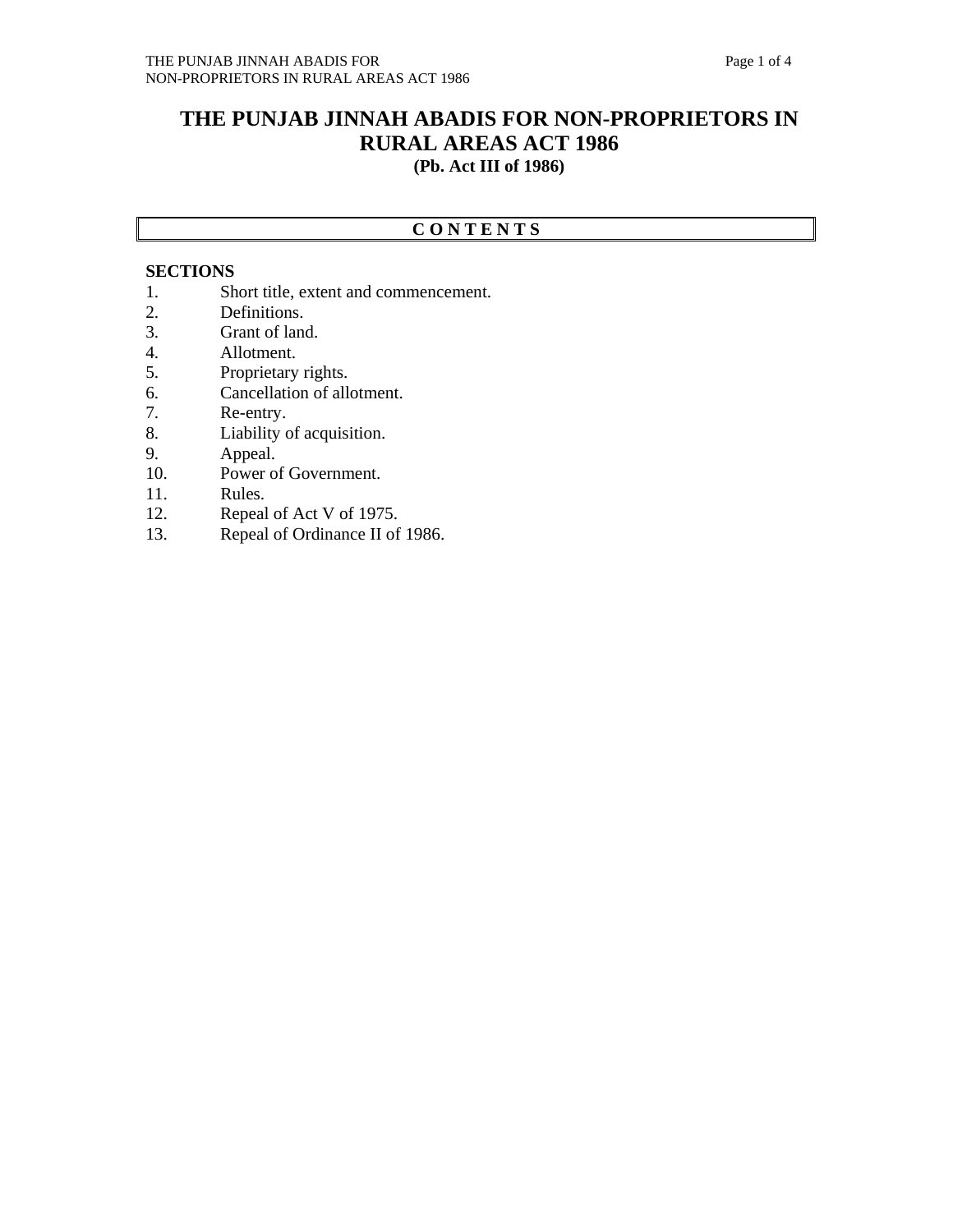## **THE PUNJAB JINNAH ABADIS FOR NON-PROPRIETORS IN RURAL AREAS ACT 1986 (Pb. Act III of 1986)**

## **C O N T E N T S**

## **SECTIONS**

- 1. Short title, extent and commencement.<br>2. Definitions.
- Definitions.
- 3. Grant of land.
- 4. Allotment.
- 5. Proprietary rights.
- 6. Cancellation of allotment.
- 7. Re-entry.
- 8. Liability of acquisition.
- 9. Appeal.
- 10. Power of Government.
- 11. Rules.
- 12. Repeal of Act V of 1975.
- 13. Repeal of Ordinance II of 1986.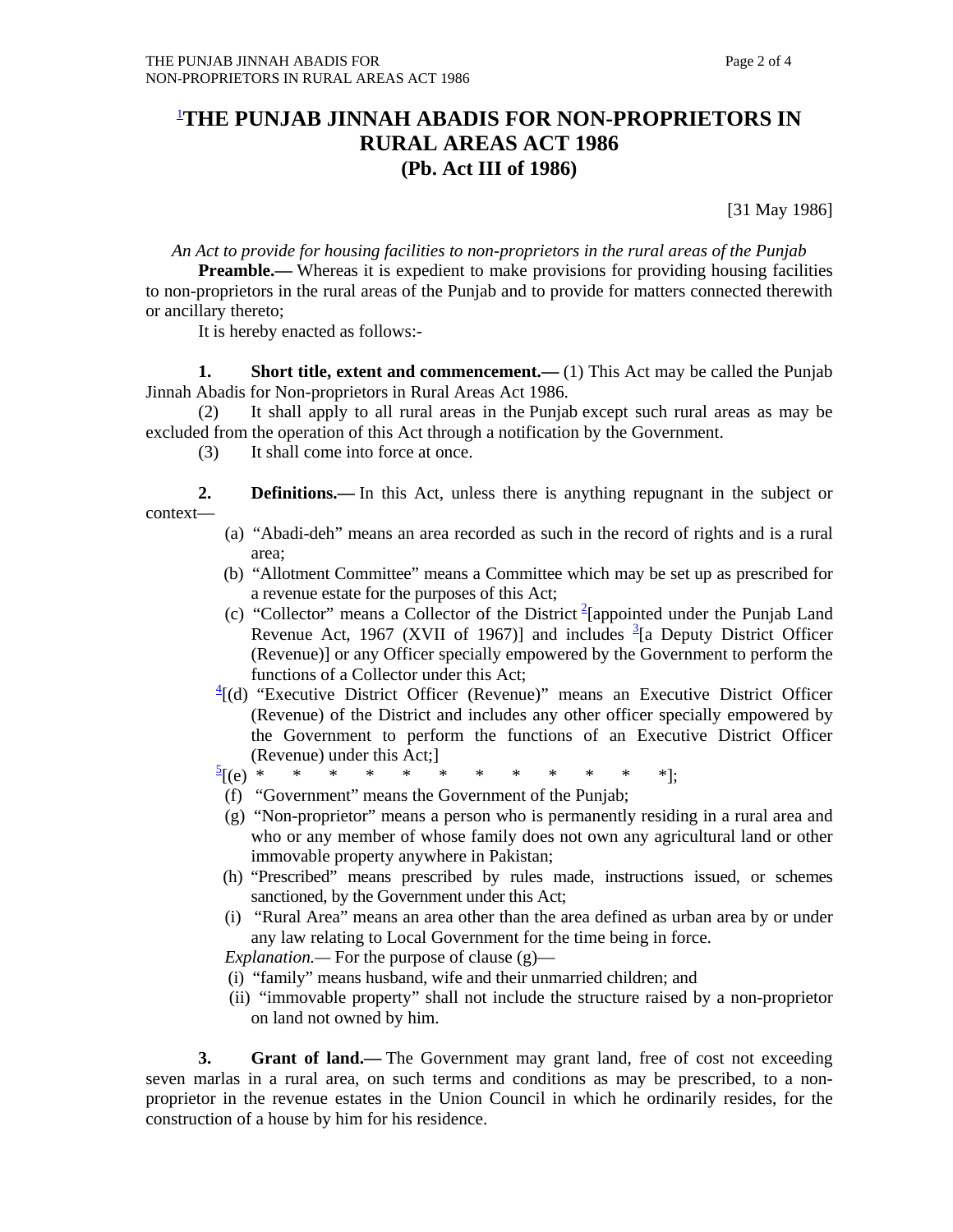## 1 **THE PUNJAB JINNAH ABADIS FOR NON-PROPRIETORS IN RURAL AREAS ACT 1986 (Pb. Act III of 1986)**

[31 May 1986]

*An Act to provide for housing facilities to non-proprietors in the rural areas of the Punjab* 

**Preamble.**— Whereas it is expedient to make provisions for providing housing facilities to non-proprietors in the rural areas of the Punjab and to provide for matters connected therewith or ancillary thereto;

It is hereby enacted as follows:-

**1.** Short title, extent and commencement.—(1) This Act may be called the Punjab Jinnah Abadis for Non-proprietors in Rural Areas Act 1986.

 (2) It shall apply to all rural areas in the Punjab except such rural areas as may be excluded from the operation of this Act through a notification by the Government.

(3) It shall come into force at once.

 **2. Definitions.—** In this Act, unless there is anything repugnant in the subject or context—

- (a) "Abadi-deh" means an area recorded as such in the record of rights and is a rural area;
- (b) "Allotment Committee" means a Committee which may be set up as prescribed for a revenue estate for the purposes of this Act;
- (c) "Collector" means a Collector of the District  $2$ [appointed under the Punjab Land Revenue Act, 1967 (XVII of 1967)] and includes  $\frac{3}{2}$ [a Deputy District Officer (Revenue)] or any Officer specially empowered by the Government to perform the functions of a Collector under this Act;
- $\frac{4}{1}$ (d) "Executive District Officer (Revenue)" means an Executive District Officer (Revenue) of the District and includes any other officer specially empowered by the Government to perform the functions of an Executive District Officer (Revenue) under this Act;]
	- $\frac{5}{2}$ [(e) \* [(e) \* \* \* \* \* \* \* \* \* \* \* \*];
	- (f) "Government" means the Government of the Punjab;
	- (g) "Non-proprietor" means a person who is permanently residing in a rural area and who or any member of whose family does not own any agricultural land or other immovable property anywhere in Pakistan;
	- (h) "Prescribed" means prescribed by rules made, instructions issued, or schemes sanctioned, by the Government under this Act;
	- (i) "Rural Area" means an area other than the area defined as urban area by or under any law relating to Local Government for the time being in force.

 *Explanation.—* For the purpose of clause (g)—

- (i) "family" means husband, wife and their unmarried children; and
- (ii) "immovable property" shall not include the structure raised by a non-proprietor on land not owned by him.

 **3. Grant of land.—** The Government may grant land, free of cost not exceeding seven marlas in a rural area, on such terms and conditions as may be prescribed, to a nonproprietor in the revenue estates in the Union Council in which he ordinarily resides, for the construction of a house by him for his residence.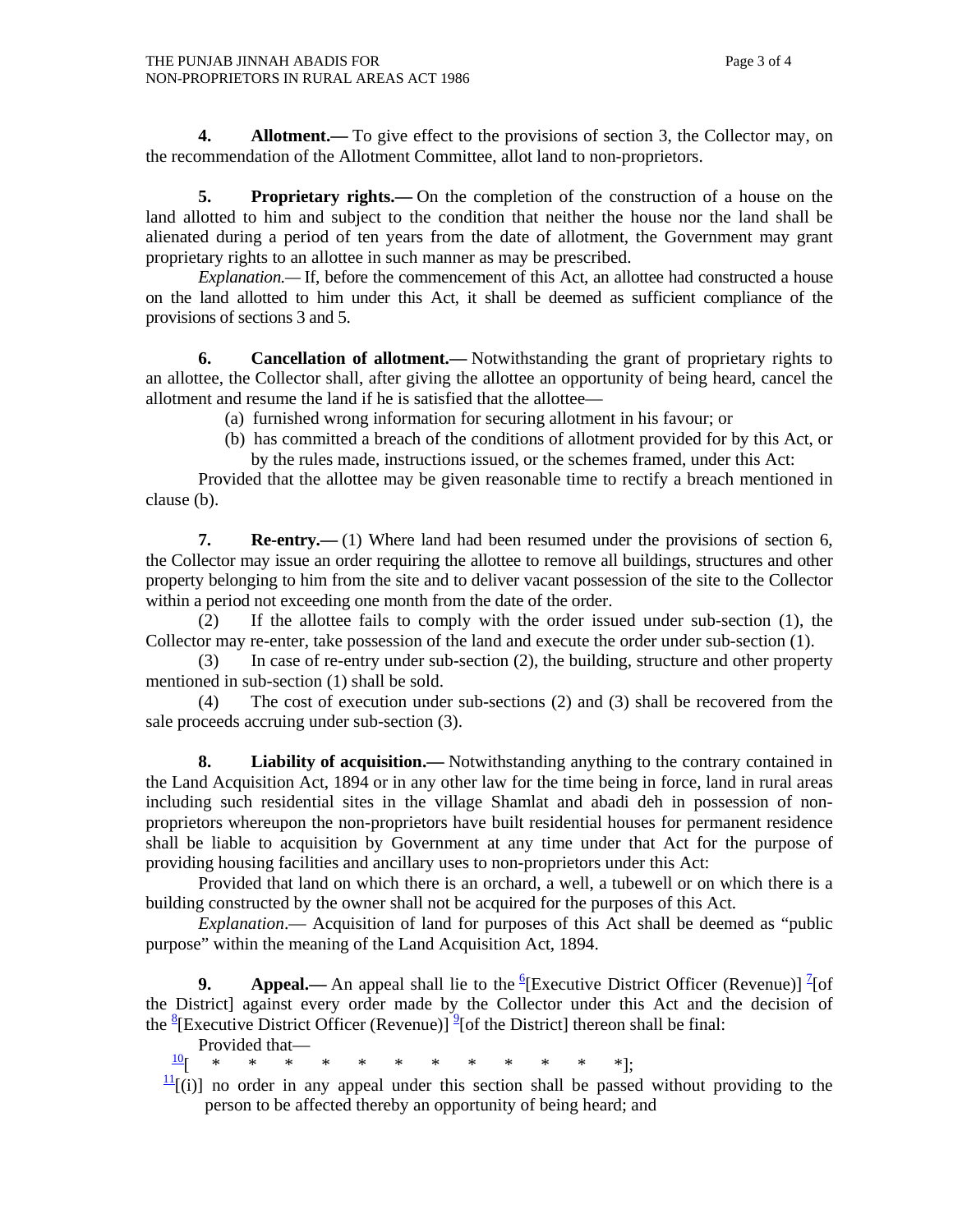**4.** Allotment.— To give effect to the provisions of section 3, the Collector may, on the recommendation of the Allotment Committee, allot land to non-proprietors.

 **5. Proprietary rights.—** On the completion of the construction of a house on the land allotted to him and subject to the condition that neither the house nor the land shall be alienated during a period of ten years from the date of allotment, the Government may grant proprietary rights to an allottee in such manner as may be prescribed.

*Explanation.*—If, before the commencement of this Act, an allottee had constructed a house on the land allotted to him under this Act, it shall be deemed as sufficient compliance of the provisions of sections 3 and 5.

**6.** Cancellation of allotment.— Notwithstanding the grant of proprietary rights to an allottee, the Collector shall, after giving the allottee an opportunity of being heard, cancel the allotment and resume the land if he is satisfied that the allottee—

- (a) furnished wrong information for securing allotment in his favour; or
- (b) has committed a breach of the conditions of allotment provided for by this Act, or by the rules made, instructions issued, or the schemes framed, under this Act:

 Provided that the allottee may be given reasonable time to rectify a breach mentioned in clause (b).

 **7. Re-entry.—** (1) Where land had been resumed under the provisions of section 6, the Collector may issue an order requiring the allottee to remove all buildings, structures and other property belonging to him from the site and to deliver vacant possession of the site to the Collector within a period not exceeding one month from the date of the order.

 (2) If the allottee fails to comply with the order issued under sub-section (1), the Collector may re-enter, take possession of the land and execute the order under sub-section (1).

 (3) In case of re-entry under sub-section (2), the building, structure and other property mentioned in sub-section (1) shall be sold.

 (4) The cost of execution under sub-sections (2) and (3) shall be recovered from the sale proceeds accruing under sub-section (3).

 **8. Liability of acquisition.—** Notwithstanding anything to the contrary contained in the Land Acquisition Act, 1894 or in any other law for the time being in force, land in rural areas including such residential sites in the village Shamlat and abadi deh in possession of nonproprietors whereupon the non-proprietors have built residential houses for permanent residence shall be liable to acquisition by Government at any time under that Act for the purpose of providing housing facilities and ancillary uses to non-proprietors under this Act:

 Provided that land on which there is an orchard, a well, a tubewell or on which there is a building constructed by the owner shall not be acquired for the purposes of this Act.

*Explanation*.— Acquisition of land for purposes of this Act shall be deemed as "public purpose" within the meaning of the Land Acquisition Act, 1894.

**9.** Appeal.— An appeal shall lie to the <sup>6</sup>[Executive District Officer (Revenue)]  $\frac{7}{1}$ [of the District] against every order made by the Collector under this Act and the decision of the  $^{8}$ [Executive District Officer (Revenue)]<sup>9</sup>[of the District] thereon shall be final:

Provided that—<br> $\frac{10}{1}$  \* \* \*  $\frac{10}{5}$  \* \* \* \* \* \* \* \* \* \* \* \* .

 $\frac{11}{11}$ [(i)] no order in any appeal under this section shall be passed without providing to the person to be affected thereby an opportunity of being heard; and